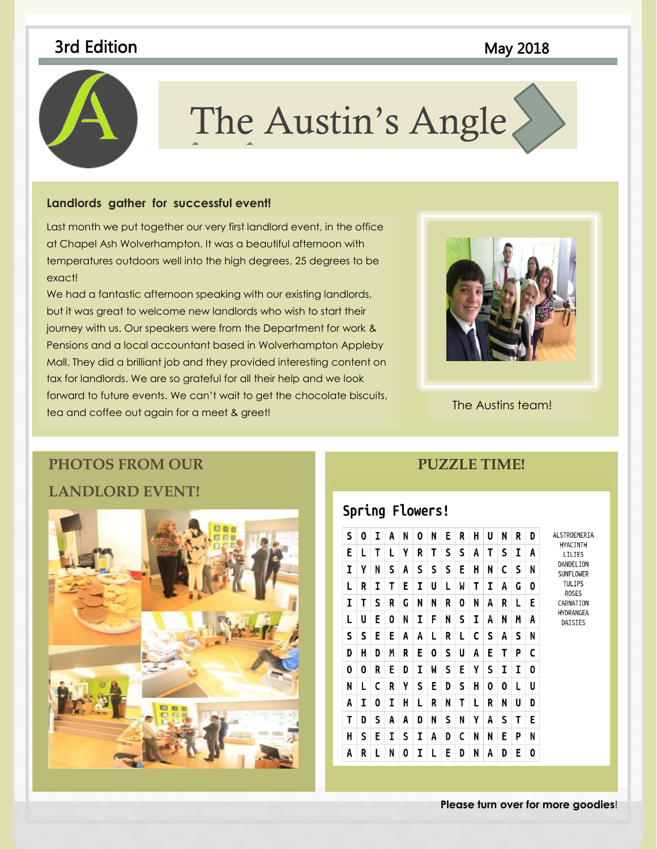# 3rd Edition **May 2018**



# The Austin's Angle

#### **Landlords gather for successful event!**

Last month we put together our very first landlord event, in the office with a state in the second state in the state of the state of the state of the state of the state of the state of the state of the state of the state temperatures outdoors well into the high degrees, 25 degrees to be the state of the state of the state of the these galleries to insert tables, headers, footers, lists, cover pages, at Chapel Ash Wolverhampton. It was a beautiful afternoon with exact!

We had a fantastic afternoon speaking with our existing landlords,  $\blacksquare$ but it was great to welcome new landlords who wish to start their **the coordinate with your current of the start** journey with us. Our speakers were from the Department for work & Pensions and a local accountant based in Wolverhampton Appleby Pensions and a local decountant based in Wolverhampton Appleby tax for landlords. We are so grateful for all their help and we look Mall. They did a brilliant job and they provided interesting content on forward to future events. We can't wait to get the chocolate biscuits, tea and coffee out again for a meet & greet!



The Austins team!

# **PHOTOS FROM OUR LANDLORD EVENT!**



## **PUZZLE TIME!**

## Spring Flowers!

| S | 0 | I | A | N | 0 | N | E | R | н | U | N | R | D | ALSTROEMERIA                                                                                                       |
|---|---|---|---|---|---|---|---|---|---|---|---|---|---|--------------------------------------------------------------------------------------------------------------------|
| E | L | T | L | γ | R | Τ | S | S | A | Τ | S | I | A | HYACINTH<br>LILIES<br>DANDELION<br>SUNFLOWER<br><b>TULIPS</b><br><b>ROSES</b><br>CARNATION<br>HYDRANGEA<br>DAISIES |
| I | γ | N | S | A | S | S | S | E | н | N | C | S | N |                                                                                                                    |
| L | R | I | Т | E | I | U | L | W | Τ | I | A | G | 0 |                                                                                                                    |
| I | T | S | R | G | N | N | R | 0 | N | A | R | L | E |                                                                                                                    |
| L | U | Ε | 0 | N | I | F | N | S | I | A | N | М | A |                                                                                                                    |
| S | S | Ε | E | A | A | L | R | L | C | S | A | S | N |                                                                                                                    |
| D | H | D | М | R | E | 0 | S | U | A | E | Т | P | C |                                                                                                                    |
| 0 | 0 | R | E | D | I | W | S | E | γ | S | I | I | 0 |                                                                                                                    |
| N | L | C | R | γ | S | E | D | S | н | 0 | 0 | L | U |                                                                                                                    |
| A | I | 0 | I | H | L | R | N | T | L | R | N | U | D |                                                                                                                    |
| T | D | S | A | A | D | N | S | N | γ | A | s | T | E |                                                                                                                    |
| н | S | E | I | S | I | A | D | C | N | N | Ε | Ρ | N |                                                                                                                    |
| A | R | L | N | 0 | I | L | E | D | N | A | D | E | 0 |                                                                                                                    |

**Please turn over for more goodies**!